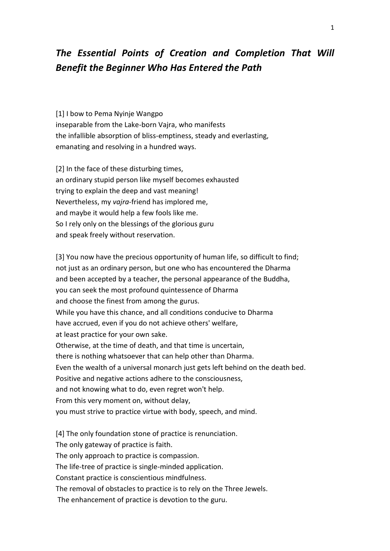## *The Essential Points of Creation and Completion That Will Benefit the Beginner Who Has Entered the Path*

[1] I bow to Pema Nyinje Wangpo inseparable from the Lake-born Vajra, who manifests the infallible absorption of bliss-emptiness, steady and everlasting, emanating and resolving in a hundred ways.

[2] In the face of these disturbing times, an ordinary stupid person like myself becomes exhausted trying to explain the deep and vast meaning! Nevertheless, my *vajra*-friend has implored me, and maybe it would help a few fools like me. So I rely only on the blessings of the glorious guru and speak freely without reservation.

[3] You now have the precious opportunity of human life, so difficult to find; not just as an ordinary person, but one who has encountered the Dharma and been accepted by a teacher, the personal appearance of the Buddha, you can seek the most profound quintessence of Dharma and choose the finest from among the gurus. While you have this chance, and all conditions conducive to Dharma have accrued, even if you do not achieve others' welfare, at least practice for your own sake. Otherwise, at the time of death, and that time is uncertain, there is nothing whatsoever that can help other than Dharma. Even the wealth of a universal monarch just gets left behind on the death bed. Positive and negative actions adhere to the consciousness, and not knowing what to do, even regret won't help. From this very moment on, without delay, you must strive to practice virtue with body, speech, and mind. [4] The only foundation stone of practice is renunciation.

The only gateway of practice is faith. The only approach to practice is compassion. The life-tree of practice is single-minded application.

Constant practice is conscientious mindfulness.

The removal of obstacles to practice is to rely on the Three Jewels.

The enhancement of practice is devotion to the guru.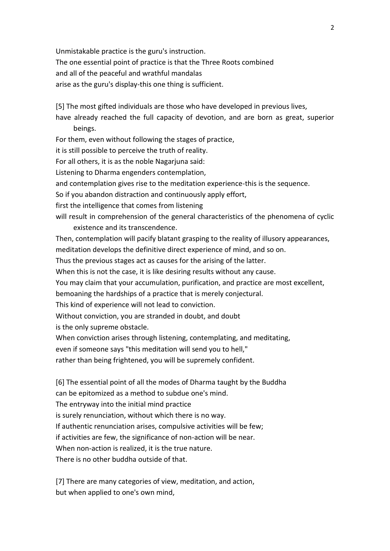Unmistakable practice is the guru's instruction.

The one essential point of practice is that the Three Roots combined

and all of the peaceful and wrathful mandalas

arise as the guru's display-this one thing is sufficient.

[5] The most gifted individuals are those who have developed in previous lives,

have already reached the full capacity of devotion, and are born as great, superior beings.

For them, even without following the stages of practice,

it is still possible to perceive the truth of reality.

For all others, it is as the noble Nagarjuna said:

Listening to Dharma engenders contemplation,

and contemplation gives rise to the meditation experience-this is the sequence.

So if you abandon distraction and continuously apply effort,

first the intelligence that comes from listening

will result in comprehension of the general characteristics of the phenomena of cyclic existence and its transcendence.

Then, contemplation will pacify blatant grasping to the reality of illusory appearances, meditation develops the definitive direct experience of mind, and so on.

Thus the previous stages act as causes for the arising of the latter.

When this is not the case, it is like desiring results without any cause.

You may claim that your accumulation, purification, and practice are most excellent,

bemoaning the hardships of a practice that is merely conjectural.

This kind of experience will not lead to conviction.

Without conviction, you are stranded in doubt, and doubt

is the only supreme obstacle.

When conviction arises through listening, contemplating, and meditating,

even if someone says "this meditation will send you to hell,"

rather than being frightened, you will be supremely confident.

[6] The essential point of all the modes of Dharma taught by the Buddha

can be epitomized as a method to subdue one's mind.

The entryway into the initial mind practice

is surely renunciation, without which there is no way.

If authentic renunciation arises, compulsive activities will be few;

if activities are few, the significance of non-action will be near.

When non-action is realized, it is the true nature.

There is no other buddha outside of that.

[7] There are many categories of view, meditation, and action, but when applied to one's own mind,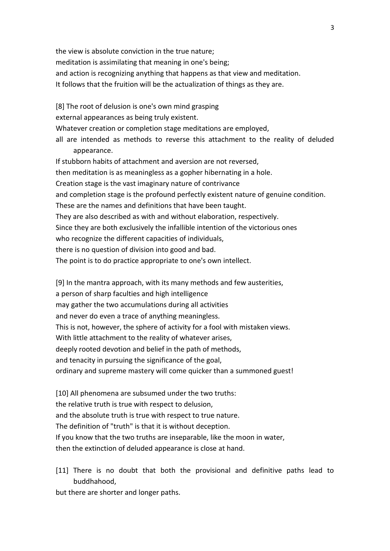the view is absolute conviction in the true nature; meditation is assimilating that meaning in one's being; and action is recognizing anything that happens as that view and meditation. It follows that the fruition will be the actualization of things as they are.

[8] The root of delusion is one's own mind grasping external appearances as being truly existent. Whatever creation or completion stage meditations are employed, all are intended as methods to reverse this attachment to the reality of deluded appearance. If stubborn habits of attachment and aversion are not reversed, then meditation is as meaningless as a gopher hibernating in a hole. Creation stage is the vast imaginary nature of contrivance and completion stage is the profound perfectly existent nature of genuine condition. These are the names and definitions that have been taught. They are also described as with and without elaboration, respectively. Since they are both exclusively the infallible intention of the victorious ones who recognize the different capacities of individuals, there is no question of division into good and bad. The point is to do practice appropriate to one's own intellect.

[9] In the mantra approach, with its many methods and few austerities, a person of sharp faculties and high intelligence may gather the two accumulations during all activities and never do even a trace of anything meaningless. This is not, however, the sphere of activity for a fool with mistaken views. With little attachment to the reality of whatever arises, deeply rooted devotion and belief in the path of methods, and tenacity in pursuing the significance of the goal, ordinary and supreme mastery will come quicker than a summoned guest!

[10] All phenomena are subsumed under the two truths: the relative truth is true with respect to delusion, and the absolute truth is true with respect to true nature. The definition of "truth" is that it is without deception. If you know that the two truths are inseparable, like the moon in water, then the extinction of deluded appearance is close at hand.

[11] There is no doubt that both the provisional and definitive paths lead to buddhahood,

but there are shorter and longer paths.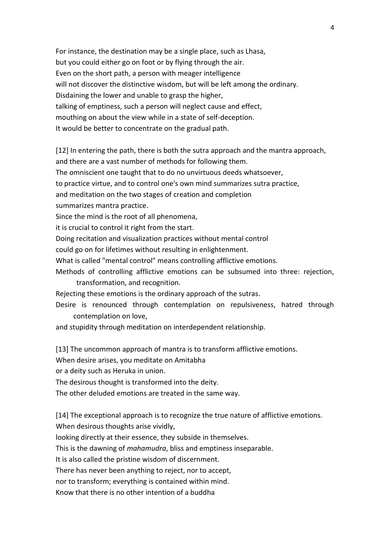For instance, the destination may be a single place, such as Lhasa, but you could either go on foot or by flying through the air. Even on the short path, a person with meager intelligence will not discover the distinctive wisdom, but will be left among the ordinary. Disdaining the lower and unable to grasp the higher, talking of emptiness, such a person will neglect cause and effect, mouthing on about the view while in a state of self-deception. It would be better to concentrate on the gradual path.

[12] In entering the path, there is both the sutra approach and the mantra approach,

and there are a vast number of methods for following them.

The omniscient one taught that to do no unvirtuous deeds whatsoever,

to practice virtue, and to control one's own mind summarizes sutra practice,

and meditation on the two stages of creation and completion

summarizes mantra practice.

Since the mind is the root of all phenomena,

it is crucial to control it right from the start.

Doing recitation and visualization practices without mental control

could go on for lifetimes without resulting in enlightenment.

What is called "mental control" means controlling afflictive emotions.

Methods of controlling afflictive emotions can be subsumed into three: rejection,

transformation, and recognition.

Rejecting these emotions is the ordinary approach of the sutras.

Desire is renounced through contemplation on repulsiveness, hatred through contemplation on love,

and stupidity through meditation on interdependent relationship.

[13] The uncommon approach of mantra is to transform afflictive emotions.

When desire arises, you meditate on Amitabha

or a deity such as Heruka in union.

The desirous thought is transformed into the deity.

The other deluded emotions are treated in the same way.

[14] The exceptional approach is to recognize the true nature of afflictive emotions.

When desirous thoughts arise vividly,

looking directly at their essence, they subside in themselves.

This is the dawning of *mahamudra*, bliss and emptiness inseparable.

It is also called the pristine wisdom of discernment.

There has never been anything to reject, nor to accept,

nor to transform; everything is contained within mind.

Know that there is no other intention of a buddha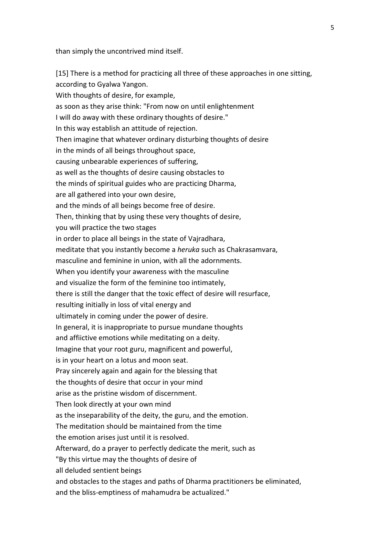than simply the uncontrived mind itself.

[15] There is a method for practicing all three of these approaches in one sitting, according to Gyalwa Yangon. With thoughts of desire, for example, as soon as they arise think: "From now on until enlightenment I will do away with these ordinary thoughts of desire." In this way establish an attitude of rejection. Then imagine that whatever ordinary disturbing thoughts of desire in the minds of all beings throughout space, causing unbearable experiences of suffering, as well as the thoughts of desire causing obstacles to the minds of spiritual guides who are practicing Dharma, are all gathered into your own desire, and the minds of all beings become free of desire. Then, thinking that by using these very thoughts of desire, you will practice the two stages in order to place all beings in the state of Vajradhara, meditate that you instantly become a *heruka* such as Chakrasamvara, masculine and feminine in union, with all the adornments. When you identify your awareness with the masculine and visualize the form of the feminine too intimately, there is still the danger that the toxic effect of desire will resurface, resulting initially in loss of vital energy and ultimately in coming under the power of desire. In general, it is inappropriate to pursue mundane thoughts and affiictive emotions while meditating on a deity. Imagine that your root guru, magnificent and powerful, is in your heart on a lotus and moon seat. Pray sincerely again and again for the blessing that the thoughts of desire that occur in your mind arise as the pristine wisdom of discernment. Then look directly at your own mind as the inseparability of the deity, the guru, and the emotion. The meditation should be maintained from the time the emotion arises just until it is resolved. Afterward, do a prayer to perfectly dedicate the merit, such as "By this virtue may the thoughts of desire of all deluded sentient beings and obstacles to the stages and paths of Dharma practitioners be eliminated, and the bliss-emptiness of mahamudra be actualized."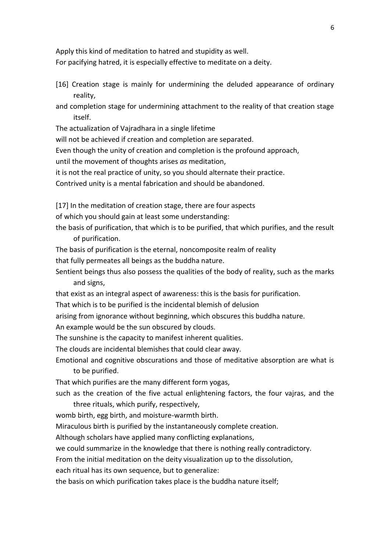Apply this kind of meditation to hatred and stupidity as well. For pacifying hatred, it is especially effective to meditate on a deity.

- [16] Creation stage is mainly for undermining the deluded appearance of ordinary reality,
- and completion stage for undermining attachment to the reality of that creation stage itself.
- The actualization of Vajradhara in a single lifetime

will not be achieved if creation and completion are separated.

Even though the unity of creation and completion is the profound approach,

until the movement of thoughts arises *as* meditation,

it is not the real practice of unity, so you should alternate their practice.

Contrived unity is a mental fabrication and should be abandoned.

[17] In the meditation of creation stage, there are four aspects

of which you should gain at least some understanding:

the basis of purification, that which is to be purified, that which purifies, and the result of purification.

The basis of purification is the eternal, noncomposite realm of reality

that fully permeates all beings as the buddha nature.

Sentient beings thus also possess the qualities of the body of reality, such as the marks and signs,

that exist as an integral aspect of awareness: this is the basis for purification.

That which is to be purified is the incidental blemish of delusion

arising from ignorance without beginning, which obscures this buddha nature.

An example would be the sun obscured by clouds.

The sunshine is the capacity to manifest inherent qualities.

The clouds are incidental blemishes that could clear away.

Emotional and cognitive obscurations and those of meditative absorption are what is to be purified.

That which purifies are the many different form yogas,

such as the creation of the five actual enlightening factors, the four vajras, and the three rituals, which purify, respectively,

womb birth, egg birth, and moisture-warmth birth.

Miraculous birth is purified by the instantaneously complete creation.

Although scholars have applied many conflicting explanations,

we could summarize in the knowledge that there is nothing really contradictory.

From the initial meditation on the deity visualization up to the dissolution,

each ritual has its own sequence, but to generalize:

the basis on which purification takes place is the buddha nature itself;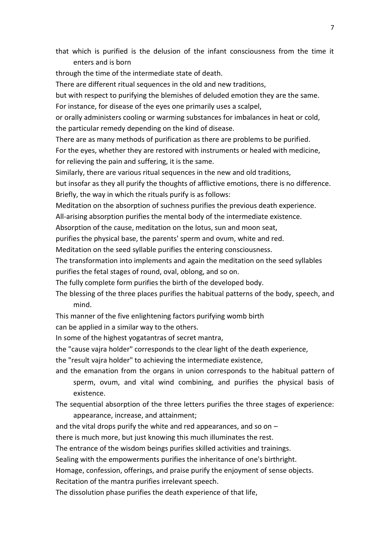that which is purified is the delusion of the infant consciousness from the time it enters and is born

through the time of the intermediate state of death.

There are different ritual sequences in the old and new traditions,

but with respect to purifying the blemishes of deluded emotion they are the same.

For instance, for disease of the eyes one primarily uses a scalpel,

or orally administers cooling or warming substances for imbalances in heat or cold, the particular remedy depending on the kind of disease.

There are as many methods of purification as there are problems to be purified.

For the eyes, whether they are restored with instruments or healed with medicine, for relieving the pain and suffering, it is the same.

Similarly, there are various ritual sequences in the new and old traditions,

but insofar as they all purify the thoughts of afflictive emotions, there is no difference. Briefly, the way in which the rituals purify is as follows:

Meditation on the absorption of suchness purifies the previous death experience.

All-arising absorption purifies the mental body of the intermediate existence.

Absorption of the cause, meditation on the lotus, sun and moon seat,

purifies the physical base, the parents' sperm and ovum, white and red.

Meditation on the seed syllable purifies the entering consciousness.

The transformation into implements and again the meditation on the seed syllables purifies the fetal stages of round, oval, oblong, and so on.

The fully complete form purifies the birth of the developed body.

The blessing of the three places purifies the habitual patterns of the body, speech, and mind.

This manner of the five enlightening factors purifying womb birth

can be applied in a similar way to the others.

In some of the highest yogatantras of secret mantra,

the "cause vajra holder" corresponds to the clear light of the death experience,

the "result vajra holder" to achieving the intermediate existence,

and the emanation from the organs in union corresponds to the habitual pattern of sperm, ovum, and vital wind combining, and purifies the physical basis of existence.

The sequential absorption of the three letters purifies the three stages of experience: appearance, increase, and attainment;

and the vital drops purify the white and red appearances, and so on  $-$ 

there is much more, but just knowing this much illuminates the rest.

The entrance of the wisdom beings purifies skilled activities and trainings.

Sealing with the empowerments purifies the inheritance of one's birthright.

Homage, confession, offerings, and praise purify the enjoyment of sense objects.

Recitation of the mantra purifies irrelevant speech.

The dissolution phase purifies the death experience of that life,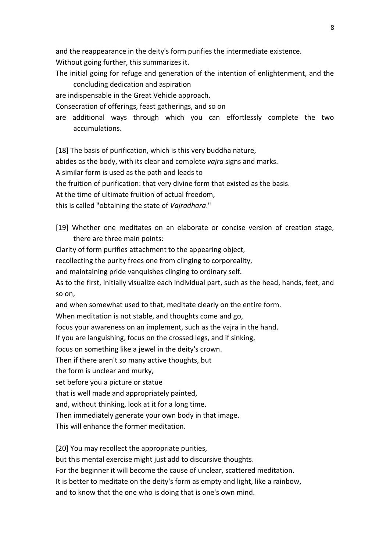and the reappearance in the deity's form purifies the intermediate existence. Without going further, this summarizes it.

- The initial going for refuge and generation of the intention of enlightenment, and the concluding dedication and aspiration
- are indispensable in the Great Vehicle approach.

Consecration of offerings, feast gatherings, and so on

are additional ways through which you can effortlessly complete the two accumulations.

[18] The basis of purification, which is this very buddha nature,

abides as the body, with its clear and complete *vajra* signs and marks.

A similar form is used as the path and leads to

the fruition of purification: that very divine form that existed as the basis.

At the time of ultimate fruition of actual freedom,

this is called "obtaining the state of *Vajradhara*."

[19] Whether one meditates on an elaborate or concise version of creation stage, there are three main points:

Clarity of form purifies attachment to the appearing object,

recollecting the purity frees one from clinging to corporeality,

and maintaining pride vanquishes clinging to ordinary self.

As to the first, initially visualize each individual part, such as the head, hands, feet, and so on,

and when somewhat used to that, meditate clearly on the entire form.

When meditation is not stable, and thoughts come and go,

focus your awareness on an implement, such as the vajra in the hand.

If you are languishing, focus on the crossed legs, and if sinking,

focus on something like a jewel in the deity's crown.

Then if there aren't so many active thoughts, but

the form is unclear and murky,

set before you a picture or statue

that is well made and appropriately painted,

and, without thinking, look at it for a long time.

Then immediately generate your own body in that image.

This will enhance the former meditation.

[20] You may recollect the appropriate purities,

but this mental exercise might just add to discursive thoughts.

For the beginner it will become the cause of unclear, scattered meditation.

It is better to meditate on the deity's form as empty and light, like a rainbow,

and to know that the one who is doing that is one's own mind.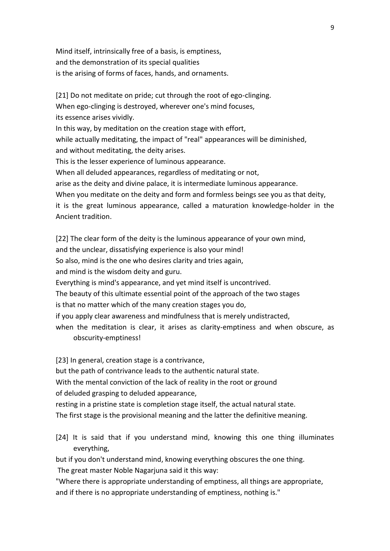Mind itself, intrinsically free of a basis, is emptiness, and the demonstration of its special qualities is the arising of forms of faces, hands, and ornaments.

[21] Do not meditate on pride; cut through the root of ego-clinging. When ego-clinging is destroyed, wherever one's mind focuses, its essence arises vividly. In this way, by meditation on the creation stage with effort, while actually meditating, the impact of "real" appearances will be diminished, and without meditating, the deity arises. This is the lesser experience of luminous appearance. When all deluded appearances, regardless of meditating or not, arise as the deity and divine palace, it is intermediate luminous appearance. When you meditate on the deity and form and formless beings see you as that deity, it is the great luminous appearance, called a maturation knowledge-holder in the Ancient tradition. [22] The clear form of the deity is the luminous appearance of your own mind, and the unclear, dissatisfying experience is also your mind!

So also, mind is the one who desires clarity and tries again,

and mind is the wisdom deity and guru.

Everything is mind's appearance, and yet mind itself is uncontrived.

The beauty of this ultimate essential point of the approach of the two stages

is that no matter which of the many creation stages you do,

if you apply clear awareness and mindfulness that is merely undistracted,

when the meditation is clear, it arises as clarity-emptiness and when obscure, as obscurity-emptiness!

[23] In general, creation stage is a contrivance,

but the path of contrivance leads to the authentic natural state.

With the mental conviction of the lack of reality in the root or ground

of deluded grasping to deluded appearance,

resting in a pristine state is completion stage itself, the actual natural state.

The first stage is the provisional meaning and the latter the definitive meaning.

[24] It is said that if you understand mind, knowing this one thing illuminates everything,

but if you don't understand mind, knowing everything obscures the one thing. The great master Noble Nagarjuna said it this way:

"Where there is appropriate understanding of emptiness, all things are appropriate, and if there is no appropriate understanding of emptiness, nothing is."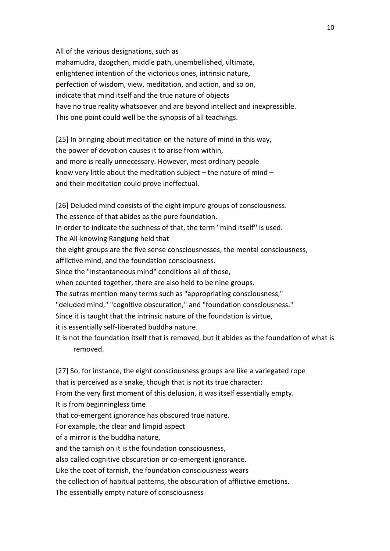All of the various designations, such as mahamudra, dzogchen, middle path, unembellished, ultimate, enlightened intention of the victorious ones, intrinsic nature, perfection of wisdom, view, meditation, and action, and so on, indicate that mind itself and the true nature of objects have no true reality whatsoever and are beyond intellect and inexpressible. This one point could well be the synopsis of all teachings.

[25] In bringing about meditation on the nature of mind in this way, the power of devotion causes it to arise from within, and more is really unnecessary. However, most ordinary people know very little about the meditation subject  $-$  the nature of mind  $$ and their meditation could prove ineffectual.

[26] Deluded mind consists of the eight impure groups of consciousness. The essence of that abides as the pure foundation. In order to indicate the suchness of that, the term "mind itself'' is used. The All-knowing Rangjung held that the eight groups are the five sense consciousnesses, the mental consciousness, afflictive mind, and the foundation consciousness. Since the "instantaneous mind" conditions all of those, when counted together, there are also held to be nine groups. The sutras mention many terms such as "appropriating consciousness," "deluded mind," "cognitive obscuration," and "foundation consciousness." Since it is taught that the intrinsic nature of the foundation is virtue, it is essentially self-liberated buddha nature. It is not the foundation itself that is removed, but it abides as the foundation of what is removed.

[27] So, for instance, the eight consciousness groups are like a variegated rope that is perceived as a snake, though that is not its true character: From the very first moment of this delusion, it was itself essentially empty. It is from beginningless time that co-emergent ignorance has obscured true nature. For example, the clear and limpid aspect of a mirror is the buddha nature, and the tarnish on it is the foundation consciousness, also called cognitive obscuration or co-emergent ignorance. Like the coat of tarnish, the foundation consciousness wears the collection of habitual patterns, the obscuration of afflictive emotions.

The essentially empty nature of consciousness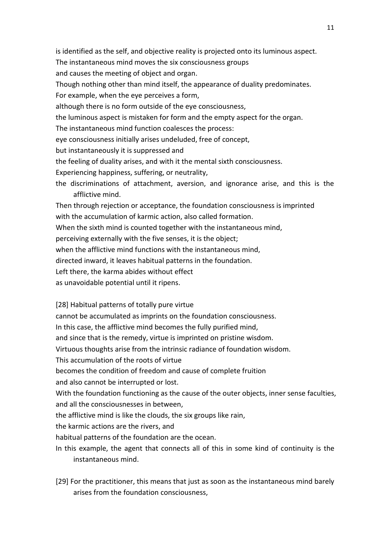is identified as the self, and objective reality is projected onto its luminous aspect. The instantaneous mind moves the six consciousness groups and causes the meeting of object and organ. Though nothing other than mind itself, the appearance of duality predominates. For example, when the eye perceives a form, although there is no form outside of the eye consciousness, the luminous aspect is mistaken for form and the empty aspect for the organ. The instantaneous mind function coalesces the process: eye consciousness initially arises undeluded, free of concept, but instantaneously it is suppressed and the feeling of duality arises, and with it the mental sixth consciousness. Experiencing happiness, suffering, or neutrality, the discriminations of attachment, aversion, and ignorance arise, and this is the afflictive mind. Then through rejection or acceptance, the foundation consciousness is imprinted with the accumulation of karmic action, also called formation. When the sixth mind is counted together with the instantaneous mind, perceiving externally with the five senses, it is the object; when the afflictive mind functions with the instantaneous mind, directed inward, it leaves habitual patterns in the foundation. Left there, the karma abides without effect

as unavoidable potential until it ripens.

[28] Habitual patterns of totally pure virtue

cannot be accumulated as imprints on the foundation consciousness.

In this case, the afflictive mind becomes the fully purified mind,

and since that is the remedy, virtue is imprinted on pristine wisdom.

Virtuous thoughts arise from the intrinsic radiance of foundation wisdom.

This accumulation of the roots of virtue

becomes the condition of freedom and cause of complete fruition

and also cannot be interrupted or lost.

With the foundation functioning as the cause of the outer objects, inner sense faculties,

and all the consciousnesses in between,

the afflictive mind is like the clouds, the six groups like rain,

the karmic actions are the rivers, and

habitual patterns of the foundation are the ocean.

- In this example, the agent that connects all of this in some kind of continuity is the instantaneous mind.
- [29] For the practitioner, this means that just as soon as the instantaneous mind barely arises from the foundation consciousness,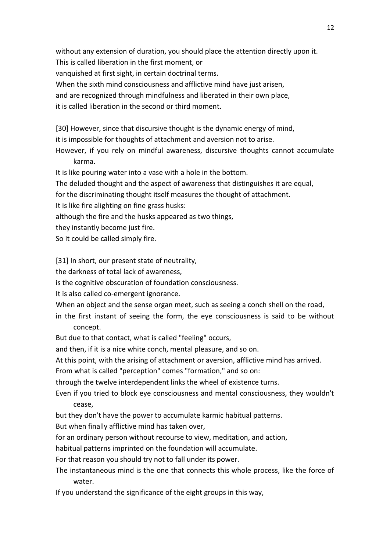without any extension of duration, you should place the attention directly upon it. This is called liberation in the first moment, or vanquished at first sight, in certain doctrinal terms. When the sixth mind consciousness and afflictive mind have just arisen, and are recognized through mindfulness and liberated in their own place, it is called liberation in the second or third moment.

[30] However, since that discursive thought is the dynamic energy of mind,

it is impossible for thoughts of attachment and aversion not to arise.

However, if you rely on mindful awareness, discursive thoughts cannot accumulate karma.

It is like pouring water into a vase with a hole in the bottom.

The deluded thought and the aspect of awareness that distinguishes it are equal,

for the discriminating thought itself measures the thought of attachment.

It is like fire alighting on fine grass husks:

although the fire and the husks appeared as two things,

they instantly become just fire.

So it could be called simply fire.

[31] In short, our present state of neutrality,

the darkness of total lack of awareness,

is the cognitive obscuration of foundation consciousness.

It is also called co-emergent ignorance.

When an object and the sense organ meet, such as seeing a conch shell on the road,

in the first instant of seeing the form, the eye consciousness is said to be without concept.

But due to that contact, what is called "feeling" occurs,

and then, if it is a nice white conch, mental pleasure, and so on.

At this point, with the arising of attachment or aversion, afflictive mind has arrived.

From what is called "perception" comes "formation," and so on:

through the twelve interdependent links the wheel of existence turns.

Even if you tried to block eye consciousness and mental consciousness, they wouldn't cease,

but they don't have the power to accumulate karmic habitual patterns.

But when finally afflictive mind has taken over,

for an ordinary person without recourse to view, meditation, and action,

habitual patterns imprinted on the foundation will accumulate.

For that reason you should try not to fall under its power.

The instantaneous mind is the one that connects this whole process, like the force of water.

If you understand the significance of the eight groups in this way,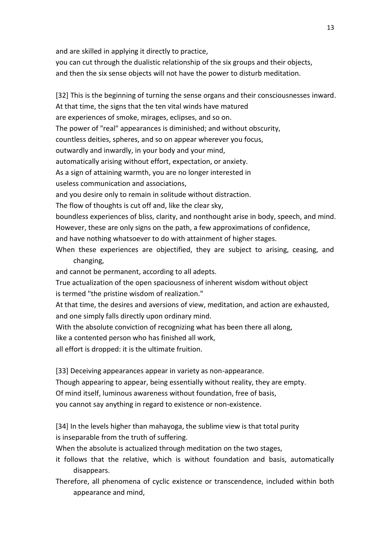and are skilled in applying it directly to practice, you can cut through the dualistic relationship of the six groups and their objects, and then the six sense objects will not have the power to disturb meditation.

[32] This is the beginning of turning the sense organs and their consciousnesses inward. At that time, the signs that the ten vital winds have matured are experiences of smoke, mirages, eclipses, and so on. The power of "real" appearances is diminished; and without obscurity,

countless deities, spheres, and so on appear wherever you focus,

outwardly and inwardly, in your body and your mind,

automatically arising without effort, expectation, or anxiety.

As a sign of attaining warmth, you are no longer interested in

useless communication and associations,

and you desire only to remain in solitude without distraction.

The flow of thoughts is cut off and, like the clear sky,

boundless experiences of bliss, clarity, and nonthought arise in body, speech, and mind. However, these are only signs on the path, a few approximations of confidence, and have nothing whatsoever to do with attainment of higher stages.

When these experiences are objectified, they are subject to arising, ceasing, and

changing,

and cannot be permanent, according to all adepts.

True actualization of the open spaciousness of inherent wisdom without object is termed "the pristine wisdom of realization."

At that time, the desires and aversions of view, meditation, and action are exhausted, and one simply falls directly upon ordinary mind.

With the absolute conviction of recognizing what has been there all along,

like a contented person who has finished all work,

all effort is dropped: it is the ultimate fruition.

[33] Deceiving appearances appear in variety as non-appearance. Though appearing to appear, being essentially without reality, they are empty. Of mind itself, luminous awareness without foundation, free of basis, you cannot say anything in regard to existence or non-existence.

[34] In the levels higher than mahayoga, the sublime view is that total purity is inseparable from the truth of suffering.

When the absolute is actualized through meditation on the two stages,

- it follows that the relative, which is without foundation and basis, automatically disappears.
- Therefore, all phenomena of cyclic existence or transcendence, included within both appearance and mind,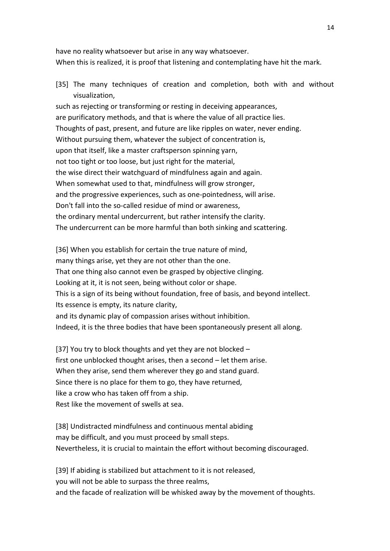have no reality whatsoever but arise in any way whatsoever. When this is realized, it is proof that listening and contemplating have hit the mark.

[35] The many techniques of creation and completion, both with and without visualization,

such as rejecting or transforming or resting in deceiving appearances, are purificatory methods, and that is where the value of all practice lies. Thoughts of past, present, and future are like ripples on water, never ending. Without pursuing them, whatever the subject of concentration is, upon that itself, like a master craftsperson spinning yarn, not too tight or too loose, but just right for the material, the wise direct their watchguard of mindfulness again and again. When somewhat used to that, mindfulness will grow stronger, and the progressive experiences, such as one-pointedness, will arise. Don't fall into the so-called residue of mind or awareness, the ordinary mental undercurrent, but rather intensify the clarity. The undercurrent can be more harmful than both sinking and scattering.

[36] When you establish for certain the true nature of mind, many things arise, yet they are not other than the one. That one thing also cannot even be grasped by objective clinging. Looking at it, it is not seen, being without color or shape. This is a sign of its being without foundation, free of basis, and beyond intellect. Its essence is empty, its nature clarity, and its dynamic play of compassion arises without inhibition. Indeed, it is the three bodies that have been spontaneously present all along.

[37] You try to block thoughts and yet they are not blocked – first one unblocked thought arises, then a second – let them arise. When they arise, send them wherever they go and stand guard. Since there is no place for them to go, they have returned, like a crow who has taken off from a ship. Rest like the movement of swells at sea.

[38] Undistracted mindfulness and continuous mental abiding may be difficult, and you must proceed by small steps. Nevertheless, it is crucial to maintain the effort without becoming discouraged.

[39] If abiding is stabilized but attachment to it is not released, you will not be able to surpass the three realms, and the facade of realization will be whisked away by the movement of thoughts.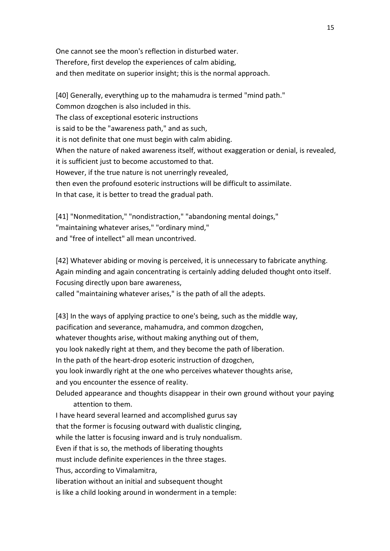One cannot see the moon's reflection in disturbed water. Therefore, first develop the experiences of calm abiding, and then meditate on superior insight; this is the normal approach.

[40] Generally, everything up to the mahamudra is termed "mind path." Common dzogchen is also included in this. The class of exceptional esoteric instructions is said to be the "awareness path," and as such, it is not definite that one must begin with calm abiding. When the nature of naked awareness itself, without exaggeration or denial, is revealed, it is sufficient just to become accustomed to that. However, if the true nature is not unerringly revealed, then even the profound esoteric instructions will be difficult to assimilate. In that case, it is better to tread the gradual path.

[41] "Nonmeditation," "nondistraction," "abandoning mental doings," "maintaining whatever arises," "ordinary mind," and "free of intellect" all mean uncontrived.

[42] Whatever abiding or moving is perceived, it is unnecessary to fabricate anything. Again minding and again concentrating is certainly adding deluded thought onto itself. Focusing directly upon bare awareness,

called "maintaining whatever arises," is the path of all the adepts.

[43] In the ways of applying practice to one's being, such as the middle way, pacification and severance, mahamudra, and common dzogchen, whatever thoughts arise, without making anything out of them, you look nakedly right at them, and they become the path of liberation. In the path of the heart-drop esoteric instruction of dzogchen, you look inwardly right at the one who perceives whatever thoughts arise, and you encounter the essence of reality. Deluded appearance and thoughts disappear in their own ground without your paying attention to them. I have heard several learned and accomplished gurus say that the former is focusing outward with dualistic clinging, while the latter is focusing inward and is truly nondualism. Even if that is so, the methods of liberating thoughts must include definite experiences in the three stages. Thus, according to Vimalamitra, liberation without an initial and subsequent thought is like a child looking around in wonderment in a temple: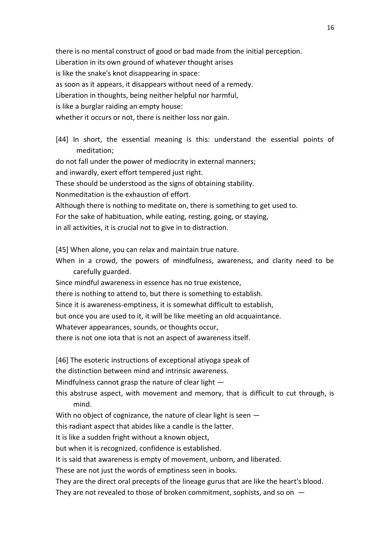there is no mental construct of good or bad made from the initial perception. Liberation in its own ground of whatever thought arises is like the snake's knot disappearing in space: as soon as it appears, it disappears without need of a remedy. Liberation in thoughts, being neither helpful nor harmful, is like a burglar raiding an empty house: whether it occurs or not, there is neither loss nor gain.

[44] In short, the essential meaning is this: understand the essential points of meditation;

do not fall under the power of mediocrity in external manners;

and inwardly, exert effort tempered just right.

These should be understood as the signs of obtaining stability.

Nonmeditation is the exhaustion of effort.

Although there is nothing to meditate on, there is something to get used to.

For the sake of habituation, while eating, resting, going, or staying,

in all activities, it is crucial not to give in to distraction.

[45] When alone, you can relax and maintain true nature.

When in a crowd, the powers of mindfulness, awareness, and clarity need to be carefully guarded.

Since mindful awareness in essence has no true existence,

there is nothing to attend to, but there is something to establish.

Since it is awareness-emptiness, it is somewhat difficult to establish,

but once you are used to it, it will be like meeting an old acquaintance.

Whatever appearances, sounds, or thoughts occur,

there is not one iota that is not an aspect of awareness itself.

[46] The esoteric instructions of exceptional atiyoga speak of

the distinction between mind and intrinsic awareness.

Mindfulness cannot grasp the nature of clear light —

this abstruse aspect, with movement and memory, that is difficult to cut through, is mind.

With no object of cognizance, the nature of clear light is seen  $-$ 

this radiant aspect that abides like a candle is the latter.

It is like a sudden fright without a known object,

but when it is recognized, confidence is established.

It is said that awareness is empty of movement, unborn, and liberated.

These are not just the words of emptiness seen in books.

They are the direct oral precepts of the lineage gurus that are like the heart's blood.

They are not revealed to those of broken commitment, sophists, and so on —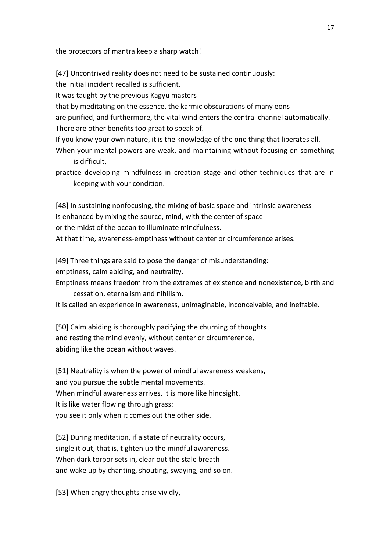the protectors of mantra keep a sharp watch!

[47] Uncontrived reality does not need to be sustained continuously:

the initial incident recalled is sufficient.

It was taught by the previous Kagyu masters

that by meditating on the essence, the karmic obscurations of many eons

are purified, and furthermore, the vital wind enters the central channel automatically. There are other benefits too great to speak of.

If you know your own nature, it is the knowledge of the one thing that liberates all.

When your mental powers are weak, and maintaining without focusing on something is difficult,

practice developing mindfulness in creation stage and other techniques that are in keeping with your condition.

[48] In sustaining nonfocusing, the mixing of basic space and intrinsic awareness is enhanced by mixing the source, mind, with the center of space

or the midst of the ocean to illuminate mindfulness.

At that time, awareness-emptiness without center or circumference arises.

[49] Three things are said to pose the danger of misunderstanding: emptiness, calm abiding, and neutrality.

Emptiness means freedom from the extremes of existence and nonexistence, birth and cessation, eternalism and nihilism.

It is called an experience in awareness, unimaginable, inconceivable, and ineffable.

[50] Calm abiding is thoroughly pacifying the churning of thoughts and resting the mind evenly, without center or circumference, abiding like the ocean without waves.

[51] Neutrality is when the power of mindful awareness weakens, and you pursue the subtle mental movements. When mindful awareness arrives, it is more like hindsight. It is like water flowing through grass: you see it only when it comes out the other side.

[52] During meditation, if a state of neutrality occurs, single it out, that is, tighten up the mindful awareness. When dark torpor sets in, clear out the stale breath and wake up by chanting, shouting, swaying, and so on.

[53] When angry thoughts arise vividly,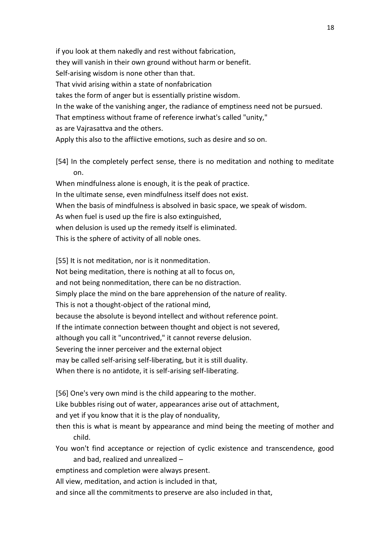if you look at them nakedly and rest without fabrication, they will vanish in their own ground without harm or benefit. Self-arising wisdom is none other than that. That vivid arising within a state of nonfabrication takes the form of anger but is essentially pristine wisdom. In the wake of the vanishing anger, the radiance of emptiness need not be pursued. That emptiness without frame of reference irwhat's called "unity," as are Vajrasattva and the others. Apply this also to the affiictive emotions, such as desire and so on.

[54] In the completely perfect sense, there is no meditation and nothing to meditate on.

When mindfulness alone is enough, it is the peak of practice. In the ultimate sense, even mindfulness itself does not exist. When the basis of mindfulness is absolved in basic space, we speak of wisdom. As when fuel is used up the fire is also extinguished, when delusion is used up the remedy itself is eliminated. This is the sphere of activity of all noble ones.

[55] It is not meditation, nor is it nonmeditation. Not being meditation, there is nothing at all to focus on, and not being nonmeditation, there can be no distraction. Simply place the mind on the bare apprehension of the nature of reality. This is not a thought-object of the rational mind, because the absolute is beyond intellect and without reference point. If the intimate connection between thought and object is not severed, although you call it "uncontrived," it cannot reverse delusion. Severing the inner perceiver and the external object may be called self-arising self-liberating, but it is still duality. When there is no antidote, it is self-arising self-liberating.

[56] One's very own mind is the child appearing to the mother.

Like bubbles rising out of water, appearances arise out of attachment,

and yet if you know that it is the play of nonduality,

- then this is what is meant by appearance and mind being the meeting of mother and child.
- You won't find acceptance or rejection of cyclic existence and transcendence, good and bad, realized and unrealized –

emptiness and completion were always present.

All view, meditation, and action is included in that,

and since all the commitments to preserve are also included in that,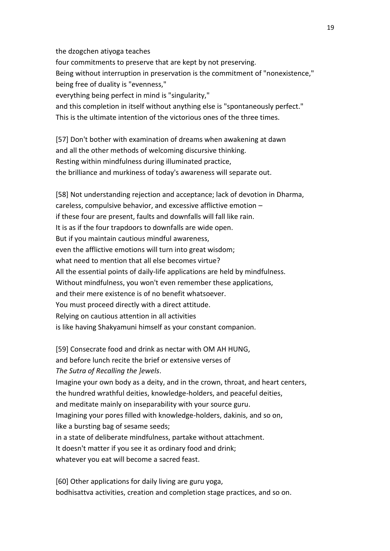the dzogchen atiyoga teaches four commitments to preserve that are kept by not preserving. Being without interruption in preservation is the commitment of "nonexistence," being free of duality is "evenness," everything being perfect in mind is "singularity," and this completion in itself without anything else is "spontaneously perfect." This is the ultimate intention of the victorious ones of the three times.

[57] Don't bother with examination of dreams when awakening at dawn and all the other methods of welcoming discursive thinking. Resting within mindfulness during illuminated practice, the brilliance and murkiness of today's awareness will separate out.

[58] Not understanding rejection and acceptance; lack of devotion in Dharma, careless, compulsive behavior, and excessive afflictive emotion – if these four are present, faults and downfalls will fall like rain. It is as if the four trapdoors to downfalls are wide open. But if you maintain cautious mindful awareness, even the afflictive emotions will turn into great wisdom; what need to mention that all else becomes virtue? All the essential points of daily-life applications are held by mindfulness. Without mindfulness, you won't even remember these applications, and their mere existence is of no benefit whatsoever. You must proceed directly with a direct attitude. Relying on cautious attention in all activities is like having Shakyamuni himself as your constant companion.

[59] Consecrate food and drink as nectar with OM AH HUNG, and before lunch recite the brief or extensive verses of *The Sutra of Recalling the ]ewels*. Imagine your own body as a deity, and in the crown, throat, and heart centers, the hundred wrathful deities, knowledge-holders, and peaceful deities, and meditate mainly on inseparability with your source guru. Imagining your pores filled with knowledge-holders, dakinis, and so on, like a bursting bag of sesame seeds; in a state of deliberate mindfulness, partake without attachment. It doesn't matter if you see it as ordinary food and drink; whatever you eat will become a sacred feast.

[60] Other applications for daily living are guru yoga, bodhisattva activities, creation and completion stage practices, and so on.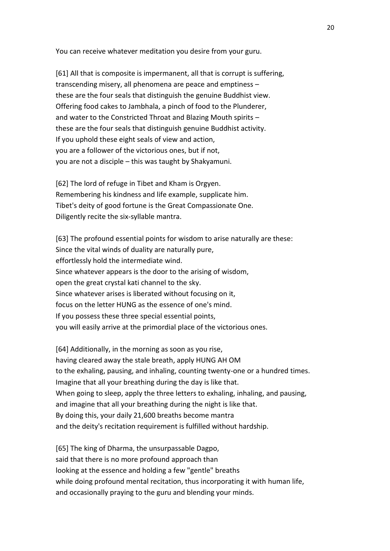You can receive whatever meditation you desire from your guru.

[61] All that is composite is impermanent, all that is corrupt is suffering, transcending misery, all phenomena are peace and emptiness – these are the four seals that distinguish the genuine Buddhist view. Offering food cakes to Jambhala, a pinch of food to the Plunderer, and water to the Constricted Throat and Blazing Mouth spirits – these are the four seals that distinguish genuine Buddhist activity. If you uphold these eight seals of view and action, you are a follower of the victorious ones, but if not, you are not a disciple – this was taught by Shakyamuni.

[62] The lord of refuge in Tibet and Kham is Orgyen. Remembering his kindness and life example, supplicate him. Tibet's deity of good fortune is the Great Compassionate One. Diligently recite the six-syllable mantra.

[63] The profound essential points for wisdom to arise naturally are these: Since the vital winds of duality are naturally pure, effortlessly hold the intermediate wind. Since whatever appears is the door to the arising of wisdom, open the great crystal kati channel to the sky. Since whatever arises is liberated without focusing on it, focus on the letter HUNG as the essence of one's mind. If you possess these three special essential points, you will easily arrive at the primordial place of the victorious ones.

[64] Additionally, in the morning as soon as you rise, having cleared away the stale breath, apply HUNG AH OM to the exhaling, pausing, and inhaling, counting twenty-one or a hundred times. Imagine that all your breathing during the day is like that. When going to sleep, apply the three letters to exhaling, inhaling, and pausing, and imagine that all your breathing during the night is like that. By doing this, your daily 21,600 breaths become mantra and the deity's recitation requirement is fulfilled without hardship.

[65] The king of Dharma, the unsurpassable Dagpo, said that there is no more profound approach than looking at the essence and holding a few "gentle" breaths while doing profound mental recitation, thus incorporating it with human life, and occasionally praying to the guru and blending your minds.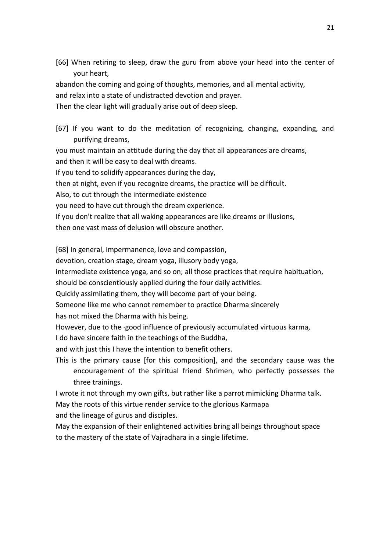[66] When retiring to sleep, draw the guru from above your head into the center of your heart,

abandon the coming and going of thoughts, memories, and all mental activity,

and relax into a state of undistracted devotion and prayer.

Then the clear light will gradually arise out of deep sleep.

[67] If you want to do the meditation of recognizing, changing, expanding, and purifying dreams,

you must maintain an attitude during the day that all appearances are dreams,

and then it will be easy to deal with dreams.

If you tend to solidify appearances during the day,

then at night, even if you recognize dreams, the practice will be difficult.

Also, to cut through the intermediate existence

you need to have cut through the dream experience.

If you don't realize that all waking appearances are like dreams or illusions, then one vast mass of delusion will obscure another.

[68] In general, impermanence, love and compassion,

devotion, creation stage, dream yoga, illusory body yoga,

intermediate existence yoga, and so on; all those practices that require habituation,

should be conscientiously applied during the four daily activities.

Quickly assimilating them, they will become part of your being.

Someone like me who cannot remember to practice Dharma sincerely has not mixed the Dharma with his being.

However, due to the ·good influence of previously accumulated virtuous karma,

I do have sincere faith in the teachings of the Buddha,

and with just this I have the intention to benefit others.

This is the primary cause [for this composition], and the secondary cause was the encouragement of the spiritual friend Shrimen, who perfectly possesses the three trainings.

I wrote it not through my own gifts, but rather like a parrot mimicking Dharma talk.

May the roots of this virtue render service to the glorious Karmapa

and the lineage of gurus and disciples.

May the expansion of their enlightened activities bring all beings throughout space to the mastery of the state of Vajradhara in a single lifetime.